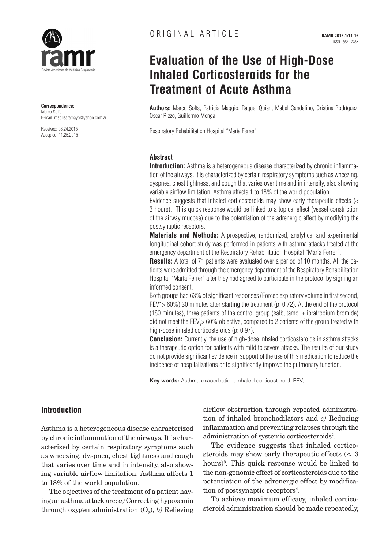

**Correspondence:** Marco Solís E-mail: msolisaramayo@yahoo.com.ar

Received: 08.24.2015 Accepted: 11.25.2015

# **Evaluation of the Use of High-Dose Inhaled Corticosteroids for the Treatment of Acute Asthma**

**Authors:** Marco Solís, Patricia Maggio, Raquel Quian, Mabel Candelino, Cristina Rodríguez, Oscar Rizzo, Guillermo Menga

Respiratory Rehabilitation Hospital "María Ferrer"

#### **Abstract**

**Introduction:** Asthma is a heterogeneous disease characterized by chronic inflammation of the airways. It is characterized by certain respiratory symptoms such as wheezing, dyspnea, chest tightness, and cough that varies over time and in intensity, also showing variable airflow limitation. Asthma affects 1 to 18% of the world population.

Evidence suggests that inhaled corticosteroids may show early therapeutic effects (< 3 hours). This quick response would be linked to a topical effect (vessel constriction of the airway mucosa) due to the potentiation of the adrenergic effect by modifying the postsynaptic receptors.

**Materials and Methods:** A prospective, randomized, analytical and experimental longitudinal cohort study was performed in patients with asthma attacks treated at the emergency department of the Respiratory Rehabilitation Hospital "María Ferrer".

**Results:** A total of 71 patients were evaluated over a period of 10 months. All the patients were admitted through the emergency department of the Respiratory Rehabilitation Hospital "María Ferrer" after they had agreed to participate in the protocol by signing an informed consent.

Both groups had 63% of significant responses (Forced expiratory volume in first second, FEV1> 60%) 30 minutes after starting the treatment (p: 0.72). At the end of the protocol (180 minutes), three patients of the control group (salbutamol + ipratropium bromide) did not meet the FEV<sub>1</sub>> 60% objective, compared to 2 patients of the group treated with high-dose inhaled corticosteroids (p: 0.97).

**Conclusion:** Currently, the use of high-dose inhaled corticosteroids in asthma attacks is a therapeutic option for patients with mild to severe attacks. The results of our study do not provide significant evidence in support of the use of this medication to reduce the incidence of hospitalizations or to significantly improve the pulmonary function.

Key words: Asthma exacerbation, inhaled corticosteroid, FEV.

# **Introduction**

Asthma is a heterogeneous disease characterized by chronic inflammation of the airways. It is characterized by certain respiratory symptoms such as wheezing, dyspnea, chest tightness and cough that varies over time and in intensity, also showing variable airflow limitation. Asthma affects 1 to 18% of the world population.

The objectives of the treatment of a patient having an asthma attack are: *a)* Correcting hypoxemia through oxygen administration  $(O_2)$ , *b*) Relieving airflow obstruction through repeated administration of inhaled bronchodilators and *c)* Reducing inflammation and preventing relapses through the administration of systemic corticosteroids<sup>2</sup>.

The evidence suggests that inhaled corticosteroids may show early therapeutic effects (< 3 hours)3 . This quick response would be linked to the non-genomic effect of corticosteroids due to the potentiation of the adrenergic effect by modification of postsynaptic receptors<sup>4</sup>.

To achieve maximum efficacy, inhaled corticosteroid administration should be made repeatedly,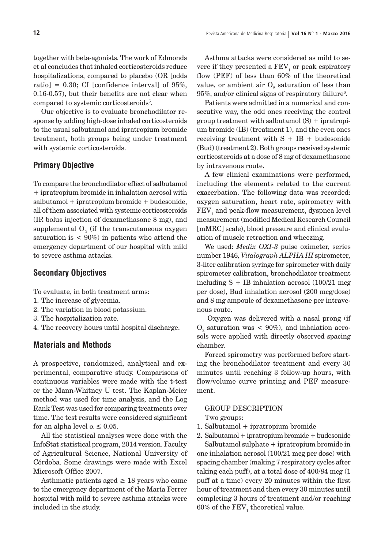together with beta-agonists. The work of Edmonds et al concludes that inhaled corticosteroids reduce hospitalizations, compared to placebo (OR [odds ratio] =  $0.30$ ; CI [confidence interval] of  $95\%$ , 0.16-0.57), but their benefits are not clear when compared to systemic corticosteroids<sup>5</sup>.

Our objective is to evaluate bronchodilator response by adding high-dose inhaled corticosteroids to the usual salbutamol and ipratropium bromide treatment, both groups being under treatment with systemic corticosteroids.

## **Primary Objective**

To compare the bronchodilator effect of salbutamol + ipratropium bromide in inhalation aerosol with salbutamol + ipratropium bromide + budesonide, all of them associated with systemic corticosteroids (IR bolus injection of dexamethasone 8 mg), and supplemental  ${\rm O}_{_{2}}$  (if the transcutaneous oxygen saturation is  $< 90\%$  in patients who attend the emergency department of our hospital with mild to severe asthma attacks.

### **Secondary Objectives**

To evaluate, in both treatment arms:

- 1. The increase of glycemia.
- 2. The variation in blood potassium.
- 3. The hospitalization rate.
- 4. The recovery hours until hospital discharge.

## **Materials and Methods**

A prospective, randomized, analytical and experimental, comparative study. Comparisons of continuous variables were made with the t-test or the Mann-Whitney U test. The Kaplan-Meier method was used for time analysis, and the Log Rank Test was used for comparing treatments over time. The test results were considered significant for an alpha level  $\alpha \leq 0.05$ .

All the statistical analyses were done with the InfoStat statistical program, 2014 version. Faculty of Agricultural Science, National University of Córdoba. Some drawings were made with Excel Microsoft Office 2007.

Asthmatic patients aged  $\geq$  18 years who came to the emergency department of the María Ferrer hospital with mild to severe asthma attacks were included in the study.

Asthma attacks were considered as mild to severe if they presented a  $\text{FEV}_1$  or peak espiratory flow (PEF) of less than 60% of the theoretical value, or ambient air  $O_{\scriptscriptstyle 2}$  saturation of less than  $95\%$ , and/or clinical signs of respiratory failure<sup>6</sup>.

Patients were admitted in a numerical and consecutive way, the odd ones receiving the control group treatment with salbutamol  $(S)$  + ipratropium bromide (IB) (treatment 1), and the even ones receiving treatment with  $S + IB + b$ udesonide (Bud) (treatment 2). Both groups received systemic corticosteroids at a dose of 8 mg of dexamethasone by intravenous route.

A few clinical examinations were performed, including the elements related to the current exacerbation. The following data was recorded: oxygen saturation, heart rate, spirometry with  ${\rm FEV}_1$  and peak-flow measurement, dyspnea level measurement (modified Medical Research Council [mMRC] scale), blood pressure and clinical evaluation of muscle retraction and wheezing.

We used: *Medix OXI-3* pulse oximeter, series number 1946*, Vitalograph ALPHA III* spirometer*,*  3-liter calibration syringe for spirometer with daily spirometer calibration, bronchodilator treatment including  $S + IB$  inhalation aerosol (100/21 mcg) per dose), Bud inhalation aerosol (200 mcg/dose) and 8 mg ampoule of dexamethasone per intravenous route.

 Oxygen was delivered with a nasal prong (if  $O_2$  saturation was  $< 90\%)$ , and inhalation aerosols were applied with directly observed spacing chamber.

Forced spirometry was performed before starting the bronchodilator treatment and every 30 minutes until reaching 3 follow-up hours, with flow/volume curve printing and PEF measurement.

#### GROUP DESCRIPTION

Two groups:

- 1. Salbutamol + ipratropium bromide
- 2. Salbutamol + ipratropium bromide + budesonide Salbutamol sulphate + ipratropium bromide in one inhalation aerosol (100/21 mcg per dose) with spacing chamber (making 7 respiratory cycles after taking each puff), at a total dose of 400/84 mcg (1 puff at a time) every 20 minutes within the first hour of treatment and then every 30 minutes until completing 3 hours of treatment and/or reaching  $60\%$  of the  $\text{FEV}_1$  theoretical value.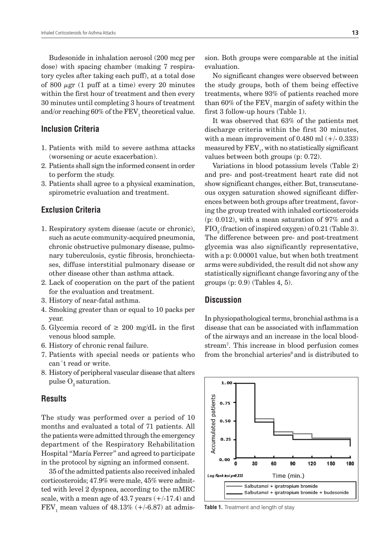Budesonide in inhalation aerosol (200 mcg per dose) with spacing chamber (making 7 respiratory cycles after taking each puff), at a total dose of 800  $\mu$ gr (1 puff at a time) every 20 minutes within the first hour of treatment and then every 30 minutes until completing 3 hours of treatment and/or reaching  $60\%$  of the  $\text{FEV}_{_1}$  theoretical value.

## **Inclusion Criteria**

- 1. Patients with mild to severe asthma attacks (worsening or acute exacerbation).
- 2. Patients shall sign the informed consent in order to perform the study.
- 3. Patients shall agree to a physical examination, spirometric evaluation and treatment.

## **Exclusion Criteria**

- 1. Respiratory system disease (acute or chronic), such as acute community-acquired pneumonia, chronic obstructive pulmonary disease, pulmonary tuberculosis, cystic fibrosis, bronchiectases, diffuse interstitial pulmonary disease or other disease other than asthma attack.
- 2. Lack of cooperation on the part of the patient for the evaluation and treatment.
- 3. History of near-fatal asthma.
- 4. Smoking greater than or equal to 10 packs per year.
- 5. Glycemia record of  $\geq 200$  mg/dL in the first venous blood sample.
- 6. History of chronic renal failure.
- 7. Patients with special needs or patients who can´t read or write.
- 8. History of peripheral vascular disease that alters pulse  $O<sub>9</sub>$  saturation.

## **Results**

The study was performed over a period of 10 months and evaluated a total of 71 patients. All the patients were admitted through the emergency department of the Respiratory Rehabilitation Hospital "María Ferrer" and agreed to participate in the protocol by signing an informed consent.

35 of the admitted patients also received inhaled corticosteroids; 47.9% were male, 45% were admitted with level 2 dyspnea, according to the mMRC scale, with a mean age of  $43.7$  years  $(+/-17.4)$  and  $\mathrm{FEV}_1$  mean values of  $48.13\%$  (+/-6.87) at admission. Both groups were comparable at the initial evaluation.

No significant changes were observed between the study groups, both of them being effective treatments, where 93% of patients reached more than 60% of the  $\mathrm{FEV}_1$  margin of safety within the first 3 follow-up hours (Table 1).

It was observed that 63% of the patients met discharge criteria within the first 30 minutes, with a mean improvement of  $0.480$  ml  $(+/- 0.333)$ measured by  $\operatorname{FEV}_1$ , with no statistically significant values between both groups (p: 0.72).

Variations in blood potassium levels (Table 2) and pre- and post-treatment heart rate did not show significant changes, either. But, transcutaneous oxygen saturation showed significant differences between both groups after treatment, favoring the group treated with inhaled corticosteroids  $(p: 0.012)$ , with a mean saturation of 97% and a  $FIO<sub>2</sub>$  (fraction of inspired oxygen) of 0.21 (Table 3). The difference between pre- and post-treatment glycemia was also significantly representative, with a p: 0.00001 value, but when both treatment arms were subdivided, the result did not show any statistically significant change favoring any of the groups (p: 0.9) (Tables 4, 5).

## **Discussion**

In physiopathological terms, bronchial asthma is a disease that can be associated with inflammation of the airways and an increase in the local bloodstream7 . This increase in blood perfusion comes from the bronchial arteries<sup>8</sup> and is distributed to



**Table 1.** Treatment and length of stay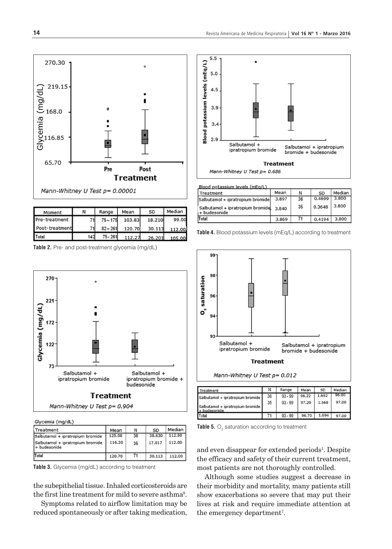

| Moment         | Ν   | Range      | Mean   | SD     | Median |
|----------------|-----|------------|--------|--------|--------|
| Pre-treatment  |     | $75 - 175$ | 103.83 | 18.210 | 99.00  |
| Post-treatment | 71  | $82 - 261$ | 120.70 | 30.113 | 112.00 |
| Total          | 142 | 75 - 261   | 112.27 | 26.201 | 105.00 |

**Table 2.** Pre- and post-treatment glycemia (mg/dL)



Glycemia (mg/dL)

| <b>Treatment</b>                                  | Mean   | N  | SD     | Median |
|---------------------------------------------------|--------|----|--------|--------|
| Salbutamol + ipratropium bromide                  | 125.08 | 36 | 38.630 | 112.50 |
| Salbutamol + ipratropium bromide<br>I+ budesonide | 116.20 | 35 | 17.017 | 112.00 |
| Total                                             | 120.70 | 71 | 30.113 | 112.00 |

**Table 3.** Glycemia (mg/dL) according to treatment

the subepithelial tissue. Inhaled corticosteroids are the first line treatment for mild to severe asthma<sup>9</sup>.

Symptoms related to airflow limitation may be reduced spontaneously or after taking medication,



| Blood potassium levels (mEg/L)                   |       |    |           |        |  |
|--------------------------------------------------|-------|----|-----------|--------|--|
| Treatment                                        | Mean  | Ν  | <b>SD</b> | Median |  |
| Salbutamol + ipratropium bromide                 | 3.897 | 36 | 0.4699    | 3.800  |  |
| Salbutamol + ipratropium bromide<br>+ budesonide | 3.840 | 35 | 0.3648    | 3.800  |  |
| Total                                            | 3.869 | 71 | 0.4194    | 3,800  |  |
|                                                  |       |    |           |        |  |

**Table 4.** Blood potassium levels (mEq/L) according to treatment



| Treatment                                        | N  | Range     | Mean  | SD    | Median |
|--------------------------------------------------|----|-----------|-------|-------|--------|
| Salbutamol + ipratropium bromide                 | 36 | $93 - 99$ | 96.22 | 1.692 | 96.00  |
| Salbutamol + ipratropium bromide<br>+ budesonide | 35 | $93 - 99$ | 97.20 | 1.568 | 97.00  |
| Total                                            |    | $93 - 99$ | 96.70 | 1.694 | 97.00  |

**Table 5.** O<sub>2</sub> saturation according to treatment

and even disappear for extended periods<sup>1</sup>. Despite the efficacy and safety of their current treatment, most patients are not thoroughly controlled.

Although some studies suggest a decrease in their morbidity and mortality, many patients still show exacerbations so severe that may put their lives at risk and require immediate attention at the emergency department<sup>7</sup>.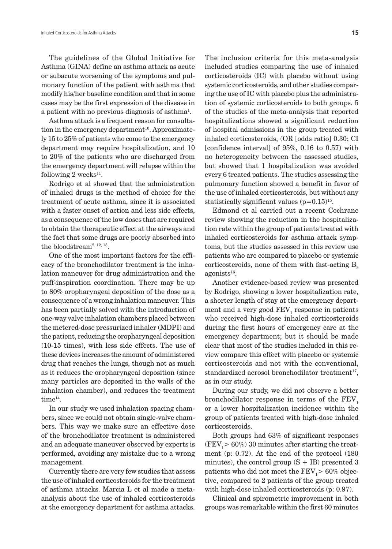The guidelines of the Global Initiative for Asthma (GINA) define an asthma attack as acute or subacute worsening of the symptoms and pulmonary function of the patient with asthma that modify his/her baseline condition and that in some cases may be the first expression of the disease in a patient with no previous diagnosis of asthma<sup>1</sup>.

Asthma attack is a frequent reason for consultation in the emergency department<sup>10</sup>. Approximately 15 to 25% of patients who come to the emergency department may require hospitalization, and 10 to 20% of the patients who are discharged from the emergency department will relapse within the following 2 weeks $^{11}$ .

Rodrigo et al showed that the administration of inhaled drugs is the method of choice for the treatment of acute asthma, since it is associated with a faster onset of action and less side effects, as a consequence of the low doses that are required to obtain the therapeutic effect at the airways and the fact that some drugs are poorly absorbed into the bloodstream<sup>2, 12, 13</sup>.

One of the most important factors for the efficacy of the bronchodilator treatment is the inhalation maneuver for drug administration and the puff-inspiration coordination. There may be up to 80% oropharyngeal deposition of the dose as a consequence of a wrong inhalation maneuver. This has been partially solved with the introduction of one-way valve inhalation chambers placed between the metered-dose pressurized inhaler (MDPI) and the patient, reducing the oropharyngeal deposition (10-15 times), with less side effects. The use of these devices increases the amount of administered drug that reaches the lungs, though not as much as it reduces the oropharyngeal deposition (since many particles are deposited in the walls of the inhalation chamber), and reduces the treatment time14.

In our study we used inhalation spacing chambers, since we could not obtain single-valve chambers. This way we make sure an effective dose of the bronchodilator treatment is administered and an adequate maneuver observed by experts is performed, avoiding any mistake due to a wrong management.

Currently there are very few studies that assess the use of inhaled corticosteroids for the treatment of asthma attacks. Marcia L et al made a metaanalysis about the use of inhaled corticosteroids at the emergency department for asthma attacks.

The inclusion criteria for this meta-analysis included studies comparing the use of inhaled corticosteroids (IC) with placebo without using systemic corticosteroids, and other studies comparing the use of IC with placebo plus the administration of systemic corticosteroids to both groups. 5 of the studies of the meta-analysis that reported hospitalizations showed a significant reduction of hospital admissions in the group treated with inhaled corticosteroids, (OR [odds ratio] 0.30; CI [confidence interval] of 95%, 0.16 to 0.57) with no heterogeneity between the assessed studies, but showed that 1 hospitalization was avoided every 6 treated patients. The studies assessing the pulmonary function showed a benefit in favor of the use of inhaled corticosteroids, but without any statistically significant values  $(p=0.15)^{15}$ .

Edmond et al carried out a recent Cochrane review showing the reduction in the hospitalization rate within the group of patients treated with inhaled corticosteroids for asthma attack symptoms, but the studies assessed in this review use patients who are compared to placebo or systemic corticosteroids, none of them with fast-acting  $B<sub>2</sub>$  $a$ gonists $^{16}$ .

Another evidence-based review was presented by Rodrigo, showing a lower hospitalization rate, a shorter length of stay at the emergency department and a very good  $\text{FEV}_1$  response in patients who received high-dose inhaled corticosteroids during the first hours of emergency care at the emergency department; but it should be made clear that most of the studies included in this review compare this effect with placebo or systemic corticosteroids and not with the conventional, standardized aerosol bronchodilator treatment $17$ , as in our study.

During our study, we did not observe a better bronchodilator response in terms of the  $FEV<sub>1</sub>$ or a lower hospitalization incidence within the group of patients treated with high-dose inhaled corticosteroids.

Both groups had 63% of significant responses  $(FEV<sub>1</sub> > 60%)$  30 minutes after starting the treatment (p: 0.72). At the end of the protocol (180 minutes), the control group  $(S + IB)$  presented 3 patients who did not meet the  $\rm{FEV}_1$ > 60% objective, compared to 2 patients of the group treated with high-dose inhaled corticosteroids (p: 0.97).

Clinical and spirometric improvement in both groups was remarkable within the first 60 minutes